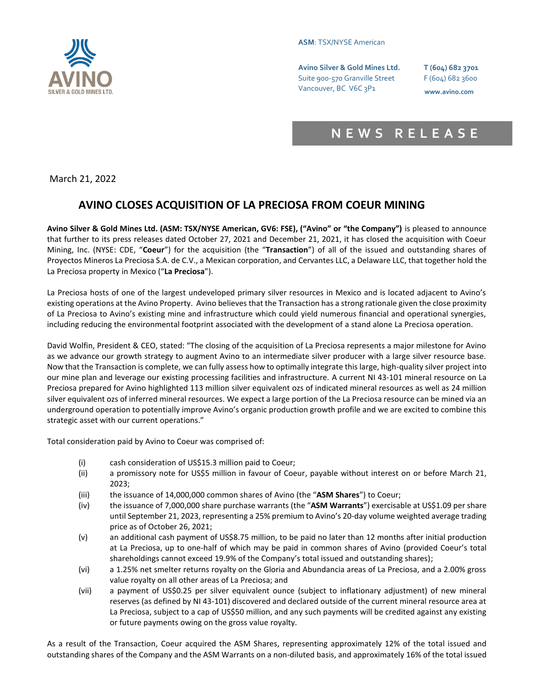

### **ASM**: TSX/NYSE American

**Avino Silver & Gold Mines Ltd. T (604) 682 3701** Suite 900-570 Granville Street F (604) 682 3600 Vancouver, BC V6C 3P1 **www.avino.com**

# **N E W S R E L E A S E**

March 21, 2022

# **AVINO CLOSES ACQUISITION OF LA PRECIOSA FROM COEUR MINING**

**Avino Silver & Gold Mines Ltd. (ASM: TSX/NYSE American, GV6: FSE), ("Avino" or "the Company")** is pleased to announce that further to its press releases dated October 27, 2021 and December 21, 2021, it has closed the acquisition with Coeur Mining, Inc. (NYSE: CDE, "**Coeur**") for the acquisition (the "**Transaction**") of all of the issued and outstanding shares of Proyectos Mineros La Preciosa S.A. de C.V., a Mexican corporation, and Cervantes LLC, a Delaware LLC, that together hold the La Preciosa property in Mexico ("**La Preciosa**").

La Preciosa hosts of one of the largest undeveloped primary silver resources in Mexico and is located adjacent to Avino's existing operations at the Avino Property. Avino believes that the Transaction has a strong rationale given the close proximity of La Preciosa to Avino's existing mine and infrastructure which could yield numerous financial and operational synergies, including reducing the environmental footprint associated with the development of a stand alone La Preciosa operation.

David Wolfin, President & CEO, stated: "The closing of the acquisition of La Preciosa represents a major milestone for Avino as we advance our growth strategy to augment Avino to an intermediate silver producer with a large silver resource base. Now that the Transaction is complete, we can fully assess how to optimally integrate this large, high-quality silver project into our mine plan and leverage our existing processing facilities and infrastructure. A current NI 43-101 mineral resource on La Preciosa prepared for Avino highlighted 113 million silver equivalent ozs of indicated mineral resources as well as 24 million silver equivalent ozs of inferred mineral resources. We expect a large portion of the La Preciosa resource can be mined via an underground operation to potentially improve Avino's organic production growth profile and we are excited to combine this strategic asset with our current operations."

Total consideration paid by Avino to Coeur was comprised of:

- (i) cash consideration of US\$15.3 million paid to Coeur;
- (ii) a promissory note for US\$5 million in favour of Coeur, payable without interest on or before March 21, 2023;
- (iii) the issuance of 14,000,000 common shares of Avino (the "**ASM Shares**") to Coeur;
- (iv) the issuance of 7,000,000 share purchase warrants (the "**ASM Warrants**") exercisable at US\$1.09 per share until September 21, 2023, representing a 25% premium to Avino's 20-day volume weighted average trading price as of October 26, 2021;
- (v) an additional cash payment of US\$8.75 million, to be paid no later than 12 months after initial production at La Preciosa, up to one-half of which may be paid in common shares of Avino (provided Coeur's total shareholdings cannot exceed 19.9% of the Company's total issued and outstanding shares);
- (vi) a 1.25% net smelter returns royalty on the Gloria and Abundancia areas of La Preciosa, and a 2.00% gross value royalty on all other areas of La Preciosa; and
- (vii) a payment of US\$0.25 per silver equivalent ounce (subject to inflationary adjustment) of new mineral reserves (as defined by NI 43-101) discovered and declared outside of the current mineral resource area at La Preciosa, subject to a cap of US\$50 million, and any such payments will be credited against any existing or future payments owing on the gross value royalty.

As a result of the Transaction, Coeur acquired the ASM Shares, representing approximately 12% of the total issued and outstanding shares of the Company and the ASM Warrants on a non-diluted basis, and approximately 16% of the total issued